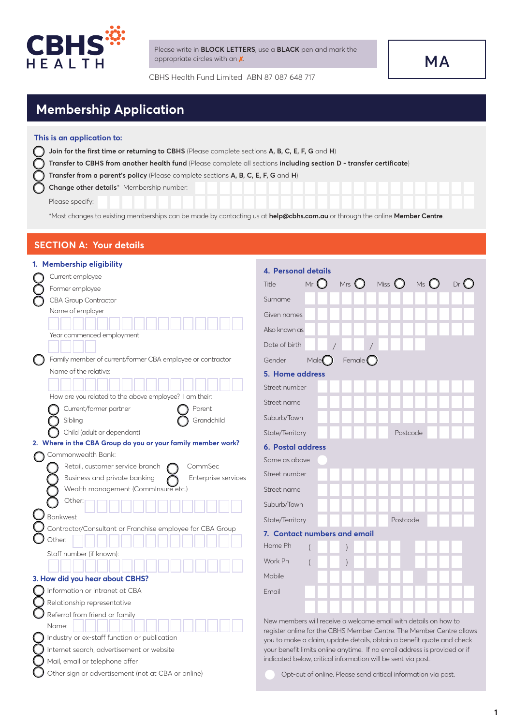

Please write in **BLOCK LETTERS**, use a **BLACK** pen and mark the appropriate circles with an  $\chi$ .

CBHS Health Fund Limited ABN 87 087 648 717

# **MA**

## **Membership Application**

### **This is an application to:**

- **Join for the first time or returning to CBHS** (Please complete sections **A, B, C, E, F, G** and **H**)  $\cap$ 
	- **Transfer to CBHS from another health fund** (Please complete all sections **including section D transfer certificate**)
	- **Transfer from a parent's policy** (Please complete sections **A, B, C, E, F, G** and **H**)
	- **Change other details**\* Membership number:

Please specify:

\*Most changes to existing memberships can be made by contacting us at **help@cbhs.com.au** or through the online **Member Centre**.

### **SECTION A: Your details**

|        | 1. Membership eligibility                                                                         |                                                                                                                                                    |  |  |  |  |  |  |  |  |  |  |
|--------|---------------------------------------------------------------------------------------------------|----------------------------------------------------------------------------------------------------------------------------------------------------|--|--|--|--|--|--|--|--|--|--|
|        | Current employee                                                                                  | 4. Personal details                                                                                                                                |  |  |  |  |  |  |  |  |  |  |
|        | Former employee                                                                                   | $Dr$ $\bigcirc$<br>Miss $\bigcirc$<br>Mrs $\bigcirc$<br>$M_S$ $\bigcirc$<br>Mr <sub>1</sub><br>Title                                               |  |  |  |  |  |  |  |  |  |  |
|        | <b>CBA Group Contractor</b>                                                                       | Surname                                                                                                                                            |  |  |  |  |  |  |  |  |  |  |
|        | Name of employer                                                                                  | Given names                                                                                                                                        |  |  |  |  |  |  |  |  |  |  |
|        |                                                                                                   | Also known as                                                                                                                                      |  |  |  |  |  |  |  |  |  |  |
|        | Year commenced employment                                                                         |                                                                                                                                                    |  |  |  |  |  |  |  |  |  |  |
|        |                                                                                                   | Date of birth                                                                                                                                      |  |  |  |  |  |  |  |  |  |  |
| $\cup$ | Family member of current/former CBA employee or contractor                                        | Female $\bigcirc$<br>Gender<br>Male                                                                                                                |  |  |  |  |  |  |  |  |  |  |
|        | Name of the relative:                                                                             | 5. Home address                                                                                                                                    |  |  |  |  |  |  |  |  |  |  |
|        |                                                                                                   | Street number                                                                                                                                      |  |  |  |  |  |  |  |  |  |  |
|        | How are you related to the above employee? I am their:                                            | Street name                                                                                                                                        |  |  |  |  |  |  |  |  |  |  |
|        | Current/former partner<br>Parent                                                                  |                                                                                                                                                    |  |  |  |  |  |  |  |  |  |  |
|        | Grandchild<br>Sibling                                                                             | Suburb/Town                                                                                                                                        |  |  |  |  |  |  |  |  |  |  |
|        | Child (adult or dependant)                                                                        | State/Territory<br>Postcode                                                                                                                        |  |  |  |  |  |  |  |  |  |  |
|        | 2. Where in the CBA Group do you or your family member work?                                      | <b>6. Postal address</b>                                                                                                                           |  |  |  |  |  |  |  |  |  |  |
|        | Commonwealth Bank:                                                                                | Same as above                                                                                                                                      |  |  |  |  |  |  |  |  |  |  |
|        | Retail, customer service branch<br>CommSec<br>Business and private banking<br>Enterprise services | Street number                                                                                                                                      |  |  |  |  |  |  |  |  |  |  |
|        | Wealth management (Comminsure etc.)                                                               | Street name                                                                                                                                        |  |  |  |  |  |  |  |  |  |  |
|        | Other:                                                                                            |                                                                                                                                                    |  |  |  |  |  |  |  |  |  |  |
|        |                                                                                                   | Suburb/Town                                                                                                                                        |  |  |  |  |  |  |  |  |  |  |
|        | Bankwest                                                                                          | State/Territory<br>Postcode                                                                                                                        |  |  |  |  |  |  |  |  |  |  |
|        | Contractor/Consultant or Franchise employee for CBA Group<br>Other:                               | 7. Contact numbers and email                                                                                                                       |  |  |  |  |  |  |  |  |  |  |
|        |                                                                                                   | Home Ph                                                                                                                                            |  |  |  |  |  |  |  |  |  |  |
|        | Staff number (if known):                                                                          | Work Ph                                                                                                                                            |  |  |  |  |  |  |  |  |  |  |
|        |                                                                                                   | Mobile                                                                                                                                             |  |  |  |  |  |  |  |  |  |  |
|        | 3. How did you hear about CBHS?                                                                   |                                                                                                                                                    |  |  |  |  |  |  |  |  |  |  |
|        | Information or intranet at CBA                                                                    | Email                                                                                                                                              |  |  |  |  |  |  |  |  |  |  |
|        | Relationship representative                                                                       |                                                                                                                                                    |  |  |  |  |  |  |  |  |  |  |
|        | Referral from friend or family<br>Name:                                                           | New members will receive a welcome email with details on how to                                                                                    |  |  |  |  |  |  |  |  |  |  |
|        | Industry or ex-staff function or publication                                                      | register online for the CBHS Member Centre. The Member Centre allows                                                                               |  |  |  |  |  |  |  |  |  |  |
|        | Internet search, advertisement or website                                                         | you to make a claim, update details, obtain a benefit quote and check<br>your benefit limits online anytime. If no email address is provided or if |  |  |  |  |  |  |  |  |  |  |
|        | Mail, email or telephone offer                                                                    | indicated below, critical information will be sent via post.                                                                                       |  |  |  |  |  |  |  |  |  |  |
|        |                                                                                                   |                                                                                                                                                    |  |  |  |  |  |  |  |  |  |  |

- $\bigcirc$  Other sign or advertisement (not at CBA or online)
- Opt-out of online. Please send critical information via post.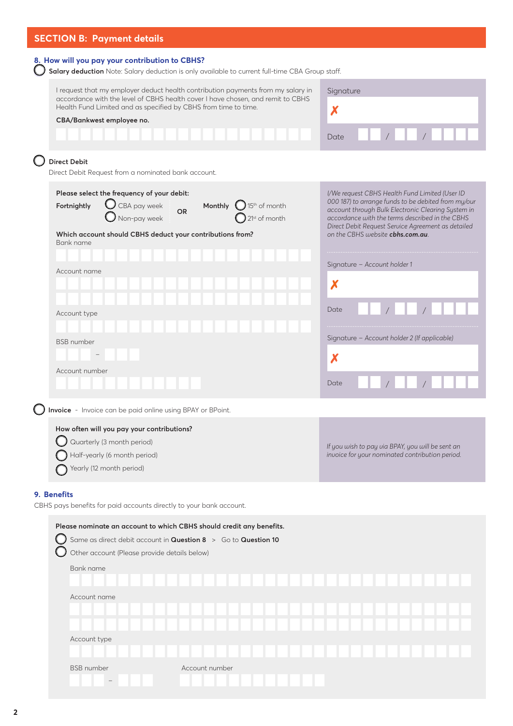### **SECTION B: Payment details**

| 8. How will you pay your contribution to CBHS?                                                                                         | Salary deduction Note: Salary deduction is only available to current full-time CBA Group staff.                                                                     |                                                                                                                                                                                                                                                                      |
|----------------------------------------------------------------------------------------------------------------------------------------|---------------------------------------------------------------------------------------------------------------------------------------------------------------------|----------------------------------------------------------------------------------------------------------------------------------------------------------------------------------------------------------------------------------------------------------------------|
| Health Fund Limited and as specified by CBHS from time to time.                                                                        | I request that my employer deduct health contribution payments from my salary in<br>accordance with the level of CBHS health cover I have chosen, and remit to CBHS | Signature<br>X                                                                                                                                                                                                                                                       |
| CBA/Bankwest employee no.                                                                                                              |                                                                                                                                                                     |                                                                                                                                                                                                                                                                      |
|                                                                                                                                        |                                                                                                                                                                     |                                                                                                                                                                                                                                                                      |
|                                                                                                                                        |                                                                                                                                                                     | Date                                                                                                                                                                                                                                                                 |
| <b>Direct Debit</b><br>Direct Debit Request from a nominated bank account.                                                             |                                                                                                                                                                     |                                                                                                                                                                                                                                                                      |
| Please select the frequency of your debit:<br>CBA pay week<br>Fortnightly<br>Non-pay week                                              | Monthly $\bigcirc$ 15 <sup>th</sup> of month<br><b>OR</b><br>21st of month                                                                                          | I/We request CBHS Health Fund Limited (User ID<br>000 187) to arrange funds to be debited from my/our<br>account through Bulk Electronic Clearing System in<br>accordance with the terms described in the CBHS<br>Direct Debit Request Service Agreement as detailed |
| Which account should CBHS deduct your contributions from?<br>Bank name                                                                 |                                                                                                                                                                     | on the CBHS website cbhs.com.au.                                                                                                                                                                                                                                     |
| Account name                                                                                                                           |                                                                                                                                                                     | Signature - Account holder 1                                                                                                                                                                                                                                         |
|                                                                                                                                        |                                                                                                                                                                     | X                                                                                                                                                                                                                                                                    |
| Account type                                                                                                                           |                                                                                                                                                                     | Date                                                                                                                                                                                                                                                                 |
| <b>BSB</b> number                                                                                                                      |                                                                                                                                                                     | Signature - Account holder 2 (If applicable)                                                                                                                                                                                                                         |
|                                                                                                                                        |                                                                                                                                                                     |                                                                                                                                                                                                                                                                      |
|                                                                                                                                        |                                                                                                                                                                     | Х                                                                                                                                                                                                                                                                    |
| Account number                                                                                                                         |                                                                                                                                                                     | Date                                                                                                                                                                                                                                                                 |
| Invoice - Invoice can be paid online using BPAY or BPoint.                                                                             |                                                                                                                                                                     |                                                                                                                                                                                                                                                                      |
| How often will you pay your contributions?                                                                                             |                                                                                                                                                                     |                                                                                                                                                                                                                                                                      |
| Quarterly (3 month period)                                                                                                             |                                                                                                                                                                     | If you wish to pay via BPAY, you will be sent an                                                                                                                                                                                                                     |
| Half-yearly (6 month period)                                                                                                           |                                                                                                                                                                     | invoice for your nominated contribution period.                                                                                                                                                                                                                      |
| Yearly (12 month period)                                                                                                               |                                                                                                                                                                     |                                                                                                                                                                                                                                                                      |
| 9. Benefits                                                                                                                            |                                                                                                                                                                     |                                                                                                                                                                                                                                                                      |
| CBHS pays benefits for paid accounts directly to your bank account.                                                                    |                                                                                                                                                                     |                                                                                                                                                                                                                                                                      |
| Please nominate an account to which CBHS should credit any benefits.<br>Same as direct debit account in Question 8 > Go to Question 10 |                                                                                                                                                                     |                                                                                                                                                                                                                                                                      |
| Other account (Please provide details below)                                                                                           |                                                                                                                                                                     |                                                                                                                                                                                                                                                                      |
| Bank name                                                                                                                              |                                                                                                                                                                     |                                                                                                                                                                                                                                                                      |
|                                                                                                                                        |                                                                                                                                                                     |                                                                                                                                                                                                                                                                      |
| Account name                                                                                                                           |                                                                                                                                                                     |                                                                                                                                                                                                                                                                      |
|                                                                                                                                        |                                                                                                                                                                     |                                                                                                                                                                                                                                                                      |
| Account type                                                                                                                           |                                                                                                                                                                     |                                                                                                                                                                                                                                                                      |
|                                                                                                                                        |                                                                                                                                                                     |                                                                                                                                                                                                                                                                      |
| <b>BSB</b> number                                                                                                                      | Account number                                                                                                                                                      |                                                                                                                                                                                                                                                                      |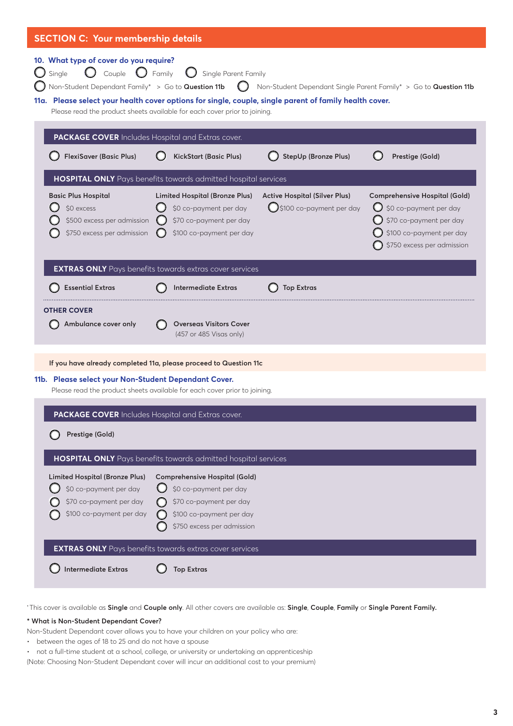| <b>SECTION C: Your membership details</b>                                                                                                                                                                                  |                                                                                                                                                                           |                                                                             |                                                                                                                                                     |  |  |  |  |  |  |
|----------------------------------------------------------------------------------------------------------------------------------------------------------------------------------------------------------------------------|---------------------------------------------------------------------------------------------------------------------------------------------------------------------------|-----------------------------------------------------------------------------|-----------------------------------------------------------------------------------------------------------------------------------------------------|--|--|--|--|--|--|
| 10. What type of cover do you require?<br>Couple<br>Single<br>Non-Student Dependant Family* > Go to Question 11b<br>11a. Please select your health cover options for single, couple, single parent of family health cover. | $\bigcirc$ Family<br>Single Parent Family<br>$\left( \begin{array}{c} 1 \end{array} \right)$<br>Please read the product sheets available for each cover prior to joining. |                                                                             | Non-Student Dependant Single Parent Family* > Go to Question 11b                                                                                    |  |  |  |  |  |  |
| <b>PACKAGE COVER</b> Includes Hospital and Extras cover.                                                                                                                                                                   |                                                                                                                                                                           |                                                                             |                                                                                                                                                     |  |  |  |  |  |  |
| <b>FlexiSaver (Basic Plus)</b>                                                                                                                                                                                             | <b>KickStart (Basic Plus)</b>                                                                                                                                             | StepUp (Bronze Plus)                                                        | Prestige (Gold)                                                                                                                                     |  |  |  |  |  |  |
|                                                                                                                                                                                                                            | HOSPITAL ONLY Pays benefits towards admitted hospital services                                                                                                            |                                                                             |                                                                                                                                                     |  |  |  |  |  |  |
| <b>Basic Plus Hospital</b><br>\$0 excess<br>\$500 excess per admission $\bigcirc$<br>\$750 excess per admission                                                                                                            | <b>Limited Hospital (Bronze Plus)</b><br>\$0 co-payment per day<br>$\cup$<br>\$70 co-payment per day<br>\$100 co-payment per day                                          | <b>Active Hospital (Silver Plus)</b><br>$\bigcirc$ \$100 co-payment per day | <b>Comprehensive Hospital (Gold)</b><br>\$0 co-payment per day<br>\$70 co-payment per day<br>\$100 co-payment per day<br>\$750 excess per admission |  |  |  |  |  |  |
|                                                                                                                                                                                                                            | <b>EXTRAS ONLY</b> Pays benefits towards extras cover services                                                                                                            |                                                                             |                                                                                                                                                     |  |  |  |  |  |  |
| <b>Essential Extras</b>                                                                                                                                                                                                    | <b>Intermediate Extras</b>                                                                                                                                                | <b>Top Extras</b>                                                           |                                                                                                                                                     |  |  |  |  |  |  |
| <b>OTHER COVER</b><br>Ambulance cover only                                                                                                                                                                                 | <b>Overseas Visitors Cover</b><br>(457 or 485 Visas only)                                                                                                                 |                                                                             |                                                                                                                                                     |  |  |  |  |  |  |
|                                                                                                                                                                                                                            | If you have already completed 11a, please proceed to Question 11c                                                                                                         |                                                                             |                                                                                                                                                     |  |  |  |  |  |  |
| 11b. Please select your Non-Student Dependant Cover.                                                                                                                                                                       | Please read the product sheets available for each cover prior to joining.                                                                                                 |                                                                             |                                                                                                                                                     |  |  |  |  |  |  |
| PACKAGE COVER Includes Hospital and Extras cover.                                                                                                                                                                          |                                                                                                                                                                           |                                                                             |                                                                                                                                                     |  |  |  |  |  |  |
| Prestige (Gold)                                                                                                                                                                                                            |                                                                                                                                                                           |                                                                             |                                                                                                                                                     |  |  |  |  |  |  |
|                                                                                                                                                                                                                            | HOSPITAL ONLY Pays benefits towards admitted hospital services                                                                                                            |                                                                             |                                                                                                                                                     |  |  |  |  |  |  |
| <b>Limited Hospital (Bronze Plus)</b><br>\$0 co-payment per day<br>\$70 co-payment per day<br>\$100 co-payment per day                                                                                                     | <b>Comprehensive Hospital (Gold)</b><br>\$0 co-payment per day<br>\$70 co-payment per day<br>\$100 co-payment per day<br>\$750 excess per admission                       |                                                                             |                                                                                                                                                     |  |  |  |  |  |  |
| <b>Intermediate Extras</b>                                                                                                                                                                                                 | <b>EXTRAS ONLY</b> Pays benefits towards extras cover services                                                                                                            |                                                                             |                                                                                                                                                     |  |  |  |  |  |  |
|                                                                                                                                                                                                                            | <b>Top Extras</b>                                                                                                                                                         |                                                                             |                                                                                                                                                     |  |  |  |  |  |  |

**†** This cover is available as **Single** and **Couple only**. All other covers are available as: **Single**, **Couple**, **Family** or **Single Parent Family.**

### **\* What is Non-Student Dependant Cover?**

Non-Student Dependant cover allows you to have your children on your policy who are:

- between the ages of 18 to 25 and do not have a spouse
- not a full-time student at a school, college, or university or undertaking an apprenticeship

(Note: Choosing Non-Student Dependant cover will incur an additional cost to your premium)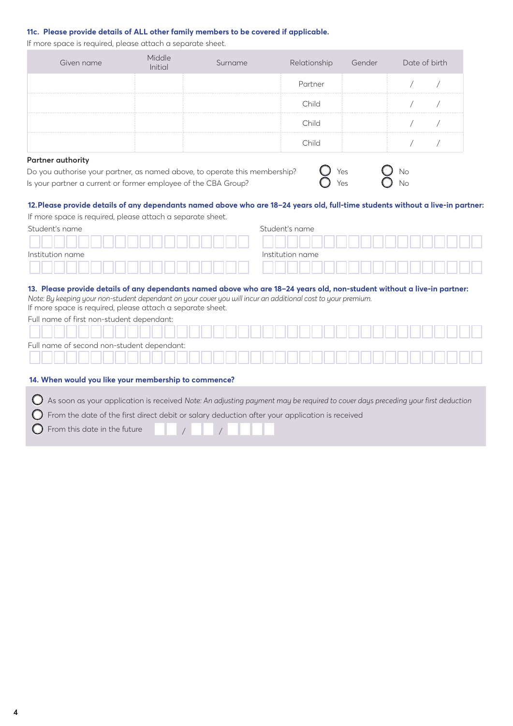### **11c. Please provide details of ALL other family members to be covered if applicable.**

If more space is required, please attach a separate sheet.

| Given name | Middle<br>Initial | Surname | Relationship | Gender | Date of birth |  |
|------------|-------------------|---------|--------------|--------|---------------|--|
|            |                   |         | Partner      |        |               |  |
|            |                   |         | ∩hild        |        |               |  |
|            |                   |         | Child        |        |               |  |
|            |                   |         | Child        |        |               |  |
| .          |                   |         |              |        |               |  |

### **Partner authority**

Do you authorise your partner, as named above, to operate this membership?  $\bigcirc$  Yes  $\bigcirc$  Yes  $\bigcirc$  No Is vour partner a current or former employee of the CBA Group?  $\bigcirc$  Yes  $\bigcirc$  No Is your partner a current or former employee of the CBA Group?

| 5 |  |  |  |
|---|--|--|--|
|   |  |  |  |
| ż |  |  |  |

### **12.Please provide details of any dependants named above who are 18–24 years old, full-time students without a live-in partner:**

If more space is required, please attach a separate sheet.

| Student's name   | Student's name   |
|------------------|------------------|
|                  |                  |
| Institution name | Institution name |
|                  |                  |

### **13. Please provide details of any dependants named above who are 18–24 years old, non-student without a live-in partner:**

*Note: By keeping your non-student dependant on your cover you will incur an additional cost to your premium.*  If more space is required, please attach a separate sheet.

Full name of first non-student dependant:

| Full name of second non-student dependant: |  |  |  |  |  |  |  |  |  |  |  |  |  |  |  |  |  |
|--------------------------------------------|--|--|--|--|--|--|--|--|--|--|--|--|--|--|--|--|--|
|                                            |  |  |  |  |  |  |  |  |  |  |  |  |  |  |  |  |  |

### **14. When would you like your membership to commence?**

As soon as your application is received *Note: An adjusting payment may be required to cover days preceding your first deduction*

 $\bigcirc$  From the date of the first direct debit or salary deduction after your application is received

 $\bigcap$  From this date in the future  $\bigcup$  /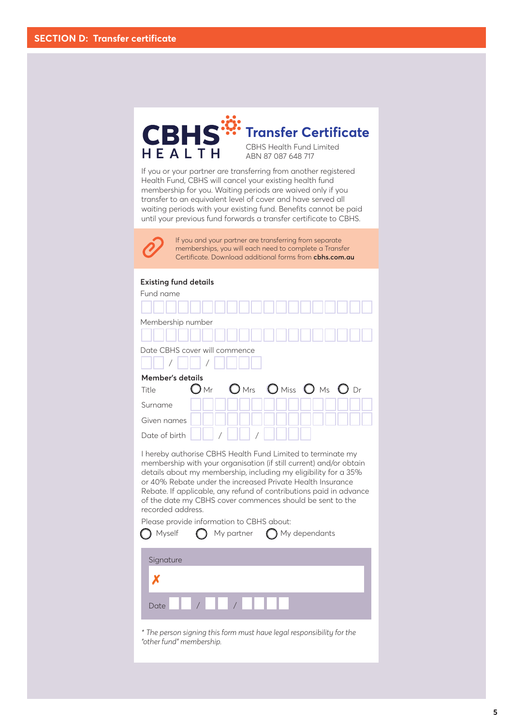

If you or your partner are transferring from another registered Health Fund, CBHS will cancel your existing health fund membership for you. Waiting periods are waived only if you transfer to an equivalent level of cover and have served all waiting periods with your existing fund. Benefits cannot be paid until your previous fund forwards a transfer certificate to CBHS.



If you and your partner are transferring from separate memberships, you will each need to complete a Transfer Certificate. Download additional forms from **cbhs.com.au**

### **Existing fund details**

| Fund name                                                                                                                                                                                                                                                                                                                                                                                                                                                                         |               |                                |               |  |
|-----------------------------------------------------------------------------------------------------------------------------------------------------------------------------------------------------------------------------------------------------------------------------------------------------------------------------------------------------------------------------------------------------------------------------------------------------------------------------------|---------------|--------------------------------|---------------|--|
| Membership number                                                                                                                                                                                                                                                                                                                                                                                                                                                                 |               |                                |               |  |
| Date CBHS cover will commence                                                                                                                                                                                                                                                                                                                                                                                                                                                     |               |                                |               |  |
| Member's details                                                                                                                                                                                                                                                                                                                                                                                                                                                                  |               |                                |               |  |
| Title                                                                                                                                                                                                                                                                                                                                                                                                                                                                             | $\bigcirc$ Mr | $O$ Mrs $O$ Miss $O$ Ms $O$ Dr |               |  |
| Surname                                                                                                                                                                                                                                                                                                                                                                                                                                                                           |               |                                |               |  |
| Given names                                                                                                                                                                                                                                                                                                                                                                                                                                                                       |               |                                |               |  |
| Date of birth                                                                                                                                                                                                                                                                                                                                                                                                                                                                     |               |                                |               |  |
| I hereby authorise CBHS Health Fund Limited to terminate my<br>membership with your organisation (if still current) and/or obtain<br>details about my membership, including my eligibility for a 35%<br>or 40% Rebate under the increased Private Health Insurance<br>Rebate. If applicable, any refund of contributions paid in advance<br>of the date my CBHS cover commences should be sent to the<br>recorded address.<br>Please provide information to CBHS about:<br>Myself |               | My partner                     | My dependants |  |
| Signature                                                                                                                                                                                                                                                                                                                                                                                                                                                                         |               |                                |               |  |
|                                                                                                                                                                                                                                                                                                                                                                                                                                                                                   |               |                                |               |  |
| Date                                                                                                                                                                                                                                                                                                                                                                                                                                                                              |               |                                |               |  |

*\* The person signing this form must have legal responsibility for the "other fund" membership.*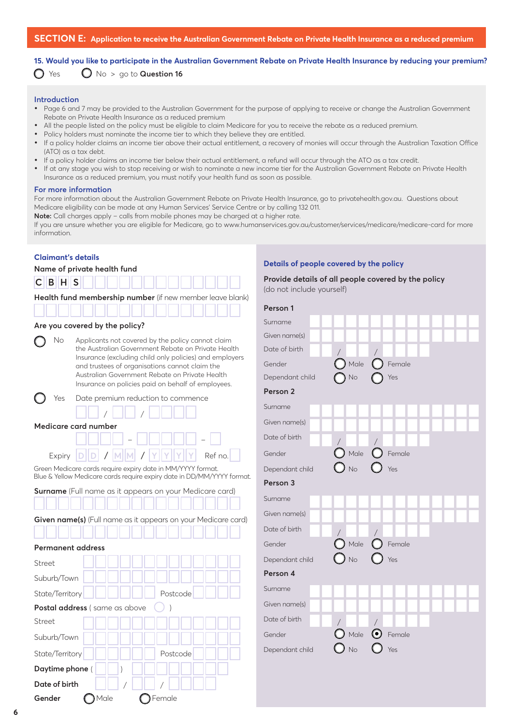**15. Would you like to participate in the Australian Government Rebate on Private Health Insurance by reducing your premium?**

 $\bigcirc$  Yes  $\bigcirc$  No > go to **Question 16** 

### **Introduction**

- **•** Page 6 and 7 may be provided to the Australian Government for the purpose of applying to receive or change the Australian Government Rebate on Private Health Insurance as a reduced premium
- **•** All the people listed on the policy must be eligible to claim Medicare for you to receive the rebate as a reduced premium.
- **•** Policy holders must nominate the income tier to which they believe they are entitled.
- **•** If a policy holder claims an income tier above their actual entitlement, a recovery of monies will occur through the Australian Taxation Office (ATO) as a tax debt.
- **•** If a policy holder claims an income tier below their actual entitlement, a refund will occur through the ATO as a tax credit.
- **•** If at any stage you wish to stop receiving or wish to nominate a new income tier for the Australian Government Rebate on Private Health Insurance as a reduced premium, you must notify your health fund as soon as possible.

#### **For more information**

For more information about the Australian Government Rebate on Private Health Insurance, go to privatehealth.gov.au. Questions about Medicare eligibility can be made at any Human Services' Service Centre or by calling 132 011.

**Note:** Call charges apply – calls from mobile phones may be charged at a higher rate.

If you are unsure whether you are eligible for Medicare, go to www.humanservices.gov.au/customer/services/medicare/medicare-card for more information.

#### **Claimant's details**

| Name of private health fund |  |
|-----------------------------|--|
|-----------------------------|--|

|  | $C$ $B$ $H$ $S$ |  |                                                           |  |  |  |  |  |
|--|-----------------|--|-----------------------------------------------------------|--|--|--|--|--|
|  |                 |  | Health fund membership number (if new member leave blank) |  |  |  |  |  |

| فسنا استناقتنا استناقتنا استناقت واستواضعا استواد |  |  |
|---------------------------------------------------|--|--|

### **Are you covered by the policy?**

| No. | Applicants not covered by the policy cannot claim       |
|-----|---------------------------------------------------------|
|     | the Australian Government Rebate on Private Health      |
|     | Insurance (excluding child only policies) and employers |
|     | and trustees of organisations cannot claim the          |
|     | Australian Government Rebate on Private Health          |
|     | Insurance on policies paid on behalf of employees.      |

| Yes Date premium reduction to commence                            |
|-------------------------------------------------------------------|
| $\vert$ / $\vert$ $\vert$ $\vert$ $\vert$ $\vert$ $\vert$ $\vert$ |
| Medicare card number                                              |
|                                                                   |
| Expiry $D  D  /  M  M  /  Y  Y  Y $ Ref no.                       |

Green Medicare cards require expiry date in MM/YYYY format. Blue & Yellow Medicare cards require expiry date in DD/MM/YYYY format.

| <b>Surname</b> (Full name as it appears on your Medicare card)       |  |  |  |  |
|----------------------------------------------------------------------|--|--|--|--|
|                                                                      |  |  |  |  |
| <b>Given name(s)</b> (Full name as it appears on your Medicare card) |  |  |  |  |
| .                                                                    |  |  |  |  |
| Permanent address                                                    |  |  |  |  |

## Street Suburb/Town State/Territory **Postcode**

| <b>Postal address</b> (same as above () ) |  |
|-------------------------------------------|--|
|                                           |  |

Gender **O**Male **O**Female

| Street          |          |
|-----------------|----------|
| Suburb/Town     |          |
| State/Territory | Postcode |
| Daytime phone ( |          |
| Date of birth   |          |

### **Details of people covered by the policy**

| Provide details of all people covered by the policy |  |
|-----------------------------------------------------|--|
| (do not include yourself)                           |  |

| Person 1        |              |                                                                                                                                                                                                                                                                                                                                                                                                                                                                                                                                                                                                               |  |
|-----------------|--------------|---------------------------------------------------------------------------------------------------------------------------------------------------------------------------------------------------------------------------------------------------------------------------------------------------------------------------------------------------------------------------------------------------------------------------------------------------------------------------------------------------------------------------------------------------------------------------------------------------------------|--|
| Surname         |              |                                                                                                                                                                                                                                                                                                                                                                                                                                                                                                                                                                                                               |  |
| Given name(s)   |              |                                                                                                                                                                                                                                                                                                                                                                                                                                                                                                                                                                                                               |  |
| Date of birth   |              |                                                                                                                                                                                                                                                                                                                                                                                                                                                                                                                                                                                                               |  |
| Gender          |              | $\big)$ Male $\bigcirc$ Female                                                                                                                                                                                                                                                                                                                                                                                                                                                                                                                                                                                |  |
| Dependant child | No           | Yes                                                                                                                                                                                                                                                                                                                                                                                                                                                                                                                                                                                                           |  |
| Person 2        |              |                                                                                                                                                                                                                                                                                                                                                                                                                                                                                                                                                                                                               |  |
| Surname         |              |                                                                                                                                                                                                                                                                                                                                                                                                                                                                                                                                                                                                               |  |
| Given name(s)   |              |                                                                                                                                                                                                                                                                                                                                                                                                                                                                                                                                                                                                               |  |
| Date of birth   |              |                                                                                                                                                                                                                                                                                                                                                                                                                                                                                                                                                                                                               |  |
| Gender          |              |                                                                                                                                                                                                                                                                                                                                                                                                                                                                                                                                                                                                               |  |
| Dependant child |              | $\begin{array}{c c} \begin{matrix} \text{\Large $\diagup$} \\ \text{\Large $\diagup$} \end{matrix} & \begin{matrix} \text{\Large $\diagup$} \\ \text{\Large $\diagup$} \end{matrix} & \begin{matrix} \text{\Large $\diagup$} \\ \text{\Large $\diagup$} \end{matrix} & \begin{matrix} \text{\Large $\diagup$} \\ \text{\Large $\diagup$} \end{matrix} & \begin{matrix} \text{\Large $\diagup$} \\ \text{\Large $\diagup$} \end{matrix} & \begin{matrix} \text{\Large $\diagup$} \\ \text{\Large $\diagup$} \end{matrix} & \begin{matrix} \text{\Large $\diagup$} \\ \text{\Large $\diagup$} \end{matrix} & \$ |  |
| Person 3        |              |                                                                                                                                                                                                                                                                                                                                                                                                                                                                                                                                                                                                               |  |
| Surname         |              |                                                                                                                                                                                                                                                                                                                                                                                                                                                                                                                                                                                                               |  |
| Given name(s)   |              |                                                                                                                                                                                                                                                                                                                                                                                                                                                                                                                                                                                                               |  |
| Date of birth   |              |                                                                                                                                                                                                                                                                                                                                                                                                                                                                                                                                                                                                               |  |
| Gender          |              | $\overbrace{\bigcirc}^{\text{Male}}$ Male $\overbrace{\bigcirc}^{\text{Female}}$                                                                                                                                                                                                                                                                                                                                                                                                                                                                                                                              |  |
| Dependant child |              |                                                                                                                                                                                                                                                                                                                                                                                                                                                                                                                                                                                                               |  |
| Person 4        |              |                                                                                                                                                                                                                                                                                                                                                                                                                                                                                                                                                                                                               |  |
| Surname         |              |                                                                                                                                                                                                                                                                                                                                                                                                                                                                                                                                                                                                               |  |
| Given name(s)   |              |                                                                                                                                                                                                                                                                                                                                                                                                                                                                                                                                                                                                               |  |
| Date of birth   |              |                                                                                                                                                                                                                                                                                                                                                                                                                                                                                                                                                                                                               |  |
| Gender          |              | $\bigcirc$ Male $\bigcirc$ Female                                                                                                                                                                                                                                                                                                                                                                                                                                                                                                                                                                             |  |
| Dependant child | $\bigcup$ No | $\bigcup$ Yes                                                                                                                                                                                                                                                                                                                                                                                                                                                                                                                                                                                                 |  |
|                 |              |                                                                                                                                                                                                                                                                                                                                                                                                                                                                                                                                                                                                               |  |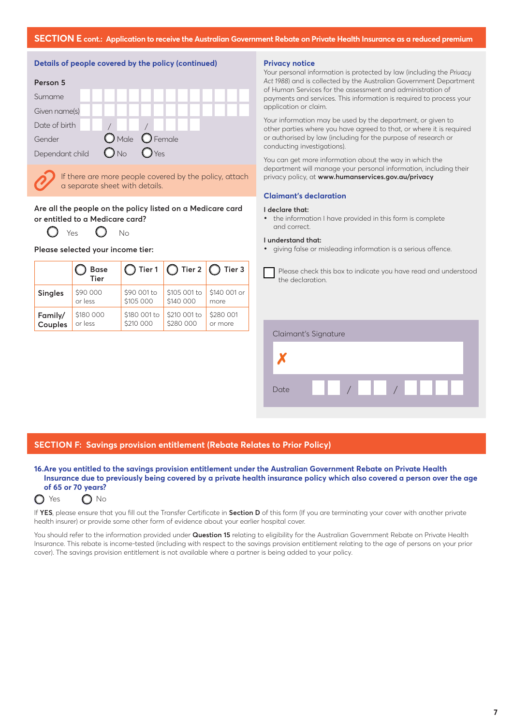



If there are more people covered by the policy, attach a separate sheet with details.

### **Are all the people on the policy listed on a Medicare card or entitled to a Medicare card?**

 $Y_{PS}$   $\bigcirc$  No

|                | <b>Base</b><br><b>Tier</b> |              | $\bigcap$ Tier 1 $\bigcap$ Tier 2 $\bigcap$ Tier 3 |              |
|----------------|----------------------------|--------------|----------------------------------------------------|--------------|
| <b>Singles</b> | \$90 000                   | \$90 001 to  | \$105 001 to                                       | \$140 001 or |
|                | or less                    | \$105 000    | \$140 000                                          | more         |
| Family/        | \$180 000                  | \$180 001 to | \$210 001 to                                       | \$280 001    |
| Couples        | or less                    | \$210 000    | \$280 000                                          | or more      |

### **Please selected your income tier:**

### **Privacy notice**

Your personal information is protected by law (including the *Privacy Act 1988*) and is collected by the Australian Government Department of Human Services for the assessment and administration of payments and services. This information is required to process your application or claim.

Your information may be used by the department, or given to other parties where you have agreed to that, or where it is required or authorised by law (including for the purpose of research or conducting investigations).

You can get more information about the way in which the department will manage your personal information, including their privacy policy, at **www.humanservices.gov.au/privacy** 

### **Claimant's declaration**

#### **I declare that:**

**•** the information I have provided in this form is complete and correct.

#### **I understand that:**

**•** giving false or misleading information is a serious offence.

Please check this box to indicate you have read and understood the declaration.

|      | Claimant's Signature |                                                                                                                                                                                                                                                                                                                     |  |
|------|----------------------|---------------------------------------------------------------------------------------------------------------------------------------------------------------------------------------------------------------------------------------------------------------------------------------------------------------------|--|
|      |                      |                                                                                                                                                                                                                                                                                                                     |  |
| Date |                      | $\frac{1}{2}$ $\frac{1}{2}$ $\frac{1}{2}$ $\frac{1}{2}$ $\frac{1}{2}$ $\frac{1}{2}$ $\frac{1}{2}$ $\frac{1}{2}$ $\frac{1}{2}$ $\frac{1}{2}$ $\frac{1}{2}$ $\frac{1}{2}$ $\frac{1}{2}$ $\frac{1}{2}$ $\frac{1}{2}$ $\frac{1}{2}$ $\frac{1}{2}$ $\frac{1}{2}$ $\frac{1}{2}$ $\frac{1}{2}$ $\frac{1}{2}$ $\frac{1}{2}$ |  |

### **SECTION F: Savings provision entitlement (Rebate Relates to Prior Policy)**

### **16.Are you entitled to the savings provision entitlement under the Australian Government Rebate on Private Health Insurance due to previously being covered by a private health insurance policy which also covered a person over the age of 65 or 70 years?**



If **YES**, please ensure that you fill out the Transfer Certificate in **Section D** of this form (If you are terminating your cover with another private health insurer) or provide some other form of evidence about your earlier hospital cover.

You should refer to the information provided under **Question 15** relating to eligibility for the Australian Government Rebate on Private Health Insurance. This rebate is income-tested (including with respect to the savings provision entitlement relating to the age of persons on your prior cover). The savings provision entitlement is not available where a partner is being added to your policy.